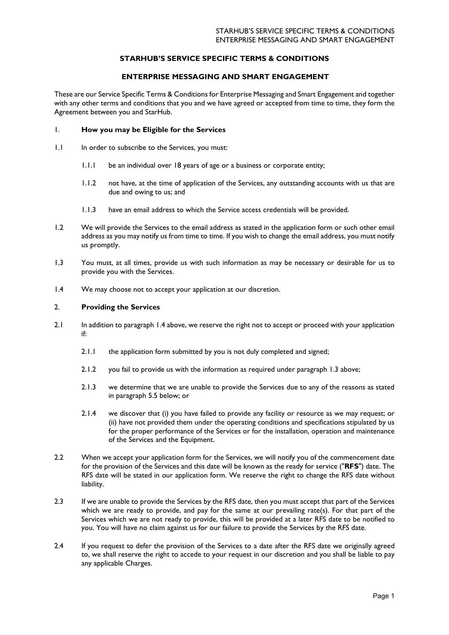# **STARHUB'S SERVICE SPECIFIC TERMS & CONDITIONS**

# **ENTERPRISE MESSAGING AND SMART ENGAGEMENT**

These are our Service Specific Terms & Conditions for Enterprise Messaging and Smart Engagement and together with any other terms and conditions that you and we have agreed or accepted from time to time, they form the Agreement between you and StarHub.

### 1. **How you may be Eligible for the Services**

- 1.1 In order to subscribe to the Services, you must:
	- 1.1.1 be an individual over 18 years of age or a business or corporate entity;
	- 1.1.2 not have, at the time of application of the Services, any outstanding accounts with us that are due and owing to us; and
	- 1.1.3 have an email address to which the Service access credentials will be provided.
- 1.2 We will provide the Services to the email address as stated in the application form or such other email address as you may notify us from time to time. If you wish to change the email address, you must notify us promptly.
- <span id="page-0-1"></span>1.3 You must, at all times, provide us with such information as may be necessary or desirable for us to provide you with the Services.
- <span id="page-0-0"></span>1.4 We may choose not to accept your application at our discretion.

### 2. **Providing the Services**

- 2.1 In addition to paragraph [1.4](#page-0-0) above, we reserve the right not to accept or proceed with your application if:
	- 2.1.1 the application form submitted by you is not duly completed and signed;
	- 2.1.2 you fail to provide us with the information as required under paragraph [1.3](#page-0-1) above;
	- 2.1.3 we determine that we are unable to provide the Services due to any of the reasons as stated in paragraph [5.5](#page-2-0) below; or
	- 2.1.4 we discover that (i) you have failed to provide any facility or resource as we may request; or (ii) have not provided them under the operating conditions and specifications stipulated by us for the proper performance of the Services or for the installation, operation and maintenance of the Services and the Equipment.
- <span id="page-0-2"></span>2.2 When we accept your application form for the Services, we will notify you of the commencement date for the provision of the Services and this date will be known as the ready for service ("**RFS**") date. The RFS date will be stated in our application form. We reserve the right to change the RFS date without liability.
- 2.3 If we are unable to provide the Services by the RFS date, then you must accept that part of the Services which we are ready to provide, and pay for the same at our prevailing rate(s). For that part of the Services which we are not ready to provide, this will be provided at a later RFS date to be notified to you. You will have no claim against us for our failure to provide the Services by the RFS date.
- 2.4 If you request to defer the provision of the Services to a date after the RFS date we originally agreed to, we shall reserve the right to accede to your request in our discretion and you shall be liable to pay any applicable Charges.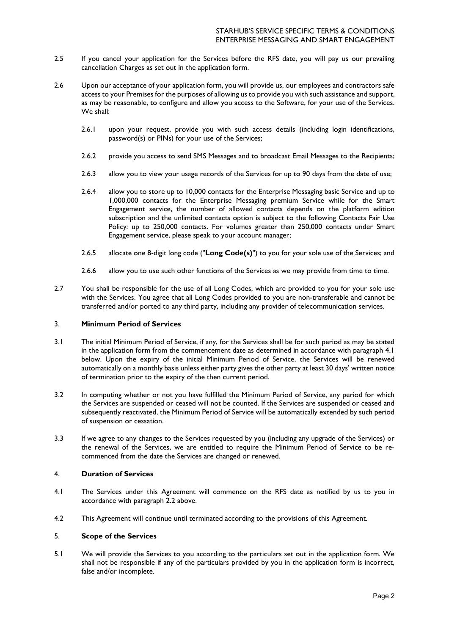- 2.5 If you cancel your application for the Services before the RFS date, you will pay us our prevailing cancellation Charges as set out in the application form.
- 2.6 Upon our acceptance of your application form, you will provide us, our employees and contractors safe access to your Premises for the purposes of allowing us to provide you with such assistance and support, as may be reasonable, to configure and allow you access to the Software, for your use of the Services. We shall:
	- 2.6.1 upon your request, provide you with such access details (including login identifications, password(s) or PINs) for your use of the Services;
	- 2.6.2 provide you access to send SMS Messages and to broadcast Email Messages to the Recipients;
	- 2.6.3 allow you to view your usage records of the Services for up to 90 days from the date of use;
	- 2.6.4 allow you to store up to 10,000 contacts for the Enterprise Messaging basic Service and up to 1,000,000 contacts for the Enterprise Messaging premium Service while for the Smart Engagement service, the number of allowed contacts depends on the platform edition subscription and the unlimited contacts option is subject to the following Contacts Fair Use Policy: up to 250,000 contacts. For volumes greater than 250,000 contacts under Smart Engagement service, please speak to your account manager;
	- 2.6.5 allocate one 8-digit long code ("**Long Code(s)**") to you for your sole use of the Services; and
	- 2.6.6 allow you to use such other functions of the Services as we may provide from time to time.
- <span id="page-1-1"></span>2.7 You shall be responsible for the use of all Long Codes, which are provided to you for your sole use with the Services. You agree that all Long Codes provided to you are non-transferable and cannot be transferred and/or ported to any third party, including any provider of telecommunication services.

## 3. **Minimum Period of Services**

- 3.1 The initial Minimum Period of Service, if any, for the Services shall be for such period as may be stated in the application form from the commencement date as determined in accordance with paragraph [4.1](#page-1-0) below. Upon the expiry of the initial Minimum Period of Service, the Services will be renewed automatically on a monthly basis unless either party gives the other party at least 30 days' written notice of termination prior to the expiry of the then current period.
- 3.2 In computing whether or not you have fulfilled the Minimum Period of Service, any period for which the Services are suspended or ceased will not be counted. If the Services are suspended or ceased and subsequently reactivated, the Minimum Period of Service will be automatically extended by such period of suspension or cessation.
- 3.3 If we agree to any changes to the Services requested by you (including any upgrade of the Services) or the renewal of the Services, we are entitled to require the Minimum Period of Service to be recommenced from the date the Services are changed or renewed.

## 4. **Duration of Services**

- <span id="page-1-0"></span>4.1 The Services under this Agreement will commence on the RFS date as notified by us to you in accordance with paragraph [2.2](#page-0-2) above.
- 4.2 This Agreement will continue until terminated according to the provisions of this Agreement.

### 5. **Scope of the Services**

5.1 We will provide the Services to you according to the particulars set out in the application form. We shall not be responsible if any of the particulars provided by you in the application form is incorrect, false and/or incomplete.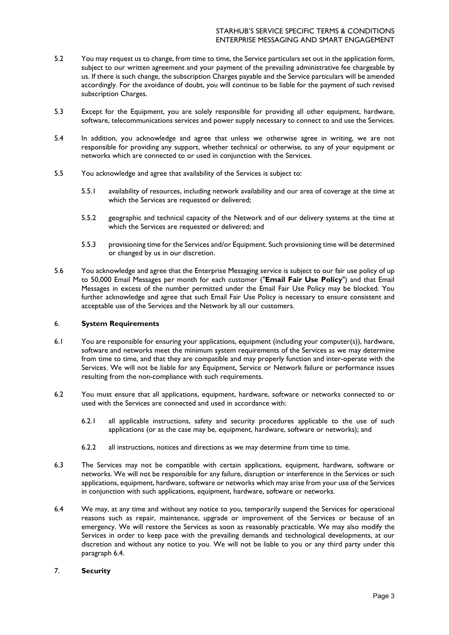- 5.2 You may request us to change, from time to time, the Service particulars set out in the application form, subject to our written agreement and your payment of the prevailing administrative fee chargeable by us. If there is such change, the subscription Charges payable and the Service particulars will be amended accordingly. For the avoidance of doubt, you will continue to be liable for the payment of such revised subscription Charges.
- 5.3 Except for the Equipment, you are solely responsible for providing all other equipment, hardware, software, telecommunications services and power supply necessary to connect to and use the Services.
- 5.4 In addition, you acknowledge and agree that unless we otherwise agree in writing, we are not responsible for providing any support, whether technical or otherwise, to any of your equipment or networks which are connected to or used in conjunction with the Services.
- <span id="page-2-0"></span>5.5 You acknowledge and agree that availability of the Services is subject to:
	- 5.5.1 availability of resources, including network availability and our area of coverage at the time at which the Services are requested or delivered;
	- 5.5.2 geographic and technical capacity of the Network and of our delivery systems at the time at which the Services are requested or delivered; and
	- 5.5.3 provisioning time for the Services and/or Equipment. Such provisioning time will be determined or changed by us in our discretion.
- <span id="page-2-2"></span>5.6 You acknowledge and agree that the Enterprise Messaging service is subject to our fair use policy of up to 50,000 Email Messages per month for each customer ("**Email Fair Use Policy**") and that Email Messages in excess of the number permitted under the Email Fair Use Policy may be blocked. You further acknowledge and agree that such Email Fair Use Policy is necessary to ensure consistent and acceptable use of the Services and the Network by all our customers.

## 6. **System Requirements**

- 6.1 You are responsible for ensuring your applications, equipment (including your computer(s)), hardware, software and networks meet the minimum system requirements of the Services as we may determine from time to time, and that they are compatible and may properly function and inter-operate with the Services. We will not be liable for any Equipment, Service or Network failure or performance issues resulting from the non-compliance with such requirements.
- 6.2 You must ensure that all applications, equipment, hardware, software or networks connected to or used with the Services are connected and used in accordance with:
	- 6.2.1 all applicable instructions, safety and security procedures applicable to the use of such applications (or as the case may be, equipment, hardware, software or networks); and
	- 6.2.2 all instructions, notices and directions as we may determine from time to time.
- 6.3 The Services may not be compatible with certain applications, equipment, hardware, software or networks. We will not be responsible for any failure, disruption or interference in the Services or such applications, equipment, hardware, software or networks which may arise from your use of the Services in conjunction with such applications, equipment, hardware, software or networks.
- 6.4 We may, at any time and without any notice to you, temporarily suspend the Services for operational reasons such as repair, maintenance, upgrade or improvement of the Services or because of an emergency. We will restore the Services as soon as reasonably practicable. We may also modify the Services in order to keep pace with the prevailing demands and technological developments, at our discretion and without any notice to you. We will not be liable to you or any third party under this paragraph [6.4.](#page-2-1)

## <span id="page-2-1"></span>7. **Security**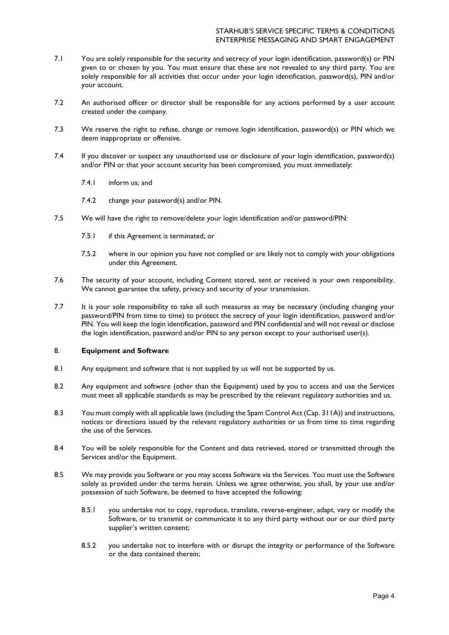- 7.1 You are solely responsible for the security and secrecy of your login identification, password(s) or PIN given to or chosen by you. You must ensure that these are not revealed to any third party. You are solely responsible for all activities that occur under your login identification, password(s), PIN and/or your account.
- 7.2 An authorised officer or director shall be responsible for any actions performed by a user account created under the company.
- 7.3 We reserve the right to refuse, change or remove login identification, password(s) or PIN which we deem inappropriate or offensive.
- 7.4 If you discover or suspect any unauthorised use or disclosure of your login identification, password(s) and/or PIN or that your account security has been compromised, you must immediately:
	- 7.4.1 inform us; and
	- 7.4.2 change your password(s) and/or PIN.
- 7.5 We will have the right to remove/delete your login identification and/or password/PIN:
	- 7.5.1 if this Agreement is terminated; or
	- 7.5.2 where in our opinion you have not complied or are likely not to comply with your obligations under this Agreement.
- 7.6 The security of your account, including Content stored, sent or received is your own responsibility. We cannot guarantee the safety, privacy and security of your transmission.
- 7.7 It is your sole responsibility to take all such measures as may be necessary (including changing your password/PIN from time to time) to protect the secrecy of your login identification, password and/or PIN. You will keep the login identification, password and PIN confidential and will not reveal or disclose the login identification, password and/or PIN to any person except to your authorised user(s).

# 8. **Equipment and Software**

- 8.1 Any equipment and software that is not supplied by us will not be supported by us.
- 8.2 Any equipment and software (other than the Equipment) used by you to access and use the Services must meet all applicable standards as may be prescribed by the relevant regulatory authorities and us.
- 8.3 You must comply with all applicable laws (including the Spam Control Act (Cap. 311A)) and instructions, notices or directions issued by the relevant regulatory authorities or us from time to time regarding the use of the Services.
- 8.4 You will be solely responsible for the Content and data retrieved, stored or transmitted through the Services and/or the Equipment.
- 8.5 We may provide you Software or you may access Software via the Services. You must use the Software solely as provided under the terms herein. Unless we agree otherwise, you shall, by your use and/or possession of such Software, be deemed to have accepted the following:
	- 8.5.1 you undertake not to copy, reproduce, translate, reverse-engineer, adapt, vary or modify the Software, or to transmit or communicate it to any third party without our or our third party supplier's written consent;
	- 8.5.2 you undertake not to interfere with or disrupt the integrity or performance of the Software or the data contained therein;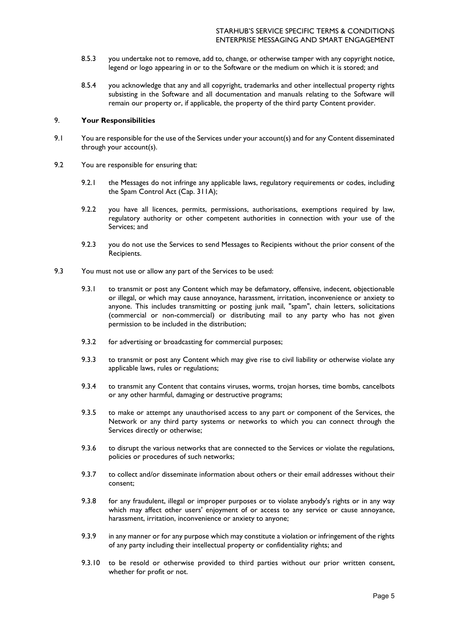- <span id="page-4-0"></span>8.5.3 you undertake not to remove, add to, change, or otherwise tamper with any copyright notice, legend or logo appearing in or to the Software or the medium on which it is stored; and
- 8.5.4 you acknowledge that any and all copyright, trademarks and other intellectual property rights subsisting in the Software and all documentation and manuals relating to the Software will remain our property or, if applicable, the property of the third party Content provider.

#### 9. **Your Responsibilities**

- 9.1 You are responsible for the use of the Services under your account(s) and for any Content disseminated through your account(s).
- 9.2 You are responsible for ensuring that:
	- 9.2.1 the Messages do not infringe any applicable laws, regulatory requirements or codes, including the Spam Control Act (Cap. 311A);
	- 9.2.2 you have all licences, permits, permissions, authorisations, exemptions required by law, regulatory authority or other competent authorities in connection with your use of the Services; and
	- 9.2.3 you do not use the Services to send Messages to Recipients without the prior consent of the Recipients.
- 9.3 You must not use or allow any part of the Services to be used:
	- 9.3.1 to transmit or post any Content which may be defamatory, offensive, indecent, objectionable or illegal, or which may cause annoyance, harassment, irritation, inconvenience or anxiety to anyone. This includes transmitting or posting junk mail, "spam", chain letters, solicitations (commercial or non-commercial) or distributing mail to any party who has not given permission to be included in the distribution;
	- 9.3.2 for advertising or broadcasting for commercial purposes;
	- 9.3.3 to transmit or post any Content which may give rise to civil liability or otherwise violate any applicable laws, rules or regulations;
	- 9.3.4 to transmit any Content that contains viruses, worms, trojan horses, time bombs, cancelbots or any other harmful, damaging or destructive programs;
	- 9.3.5 to make or attempt any unauthorised access to any part or component of the Services, the Network or any third party systems or networks to which you can connect through the Services directly or otherwise;
	- 9.3.6 to disrupt the various networks that are connected to the Services or violate the regulations, policies or procedures of such networks;
	- 9.3.7 to collect and/or disseminate information about others or their email addresses without their consent;
	- 9.3.8 for any fraudulent, illegal or improper purposes or to violate anybody's rights or in any way which may affect other users' enjoyment of or access to any service or cause annoyance, harassment, irritation, inconvenience or anxiety to anyone;
	- 9.3.9 in any manner or for any purpose which may constitute a violation or infringement of the rights of any party including their intellectual property or confidentiality rights; and
	- 9.3.10 to be resold or otherwise provided to third parties without our prior written consent, whether for profit or not.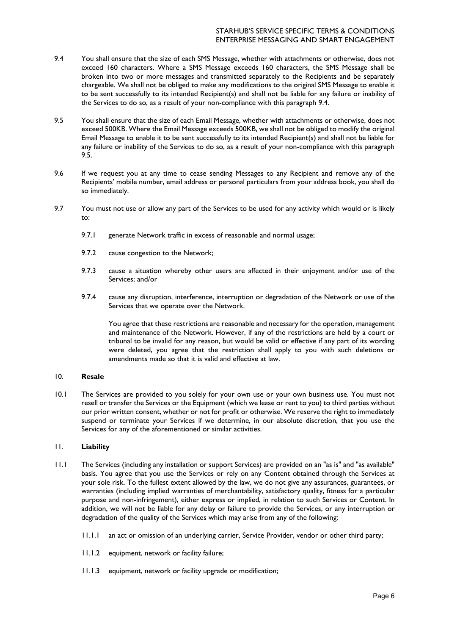- 9.4 You shall ensure that the size of each SMS Message, whether with attachments or otherwise, does not exceed 160 characters. Where a SMS Message exceeds 160 characters, the SMS Message shall be broken into two or more messages and transmitted separately to the Recipients and be separately chargeable. We shall not be obliged to make any modifications to the original SMS Message to enable it to be sent successfully to its intended Recipient(s) and shall not be liable for any failure or inability of the Services to do so, as a result of your non-compliance with this paragraph [9.4.](#page-4-0)
- <span id="page-5-0"></span>9.5 You shall ensure that the size of each Email Message, whether with attachments or otherwise, does not exceed 500KB. Where the Email Message exceeds 500KB, we shall not be obliged to modify the original Email Message to enable it to be sent successfully to its intended Recipient(s) and shall not be liable for any failure or inability of the Services to do so, as a result of your non-compliance with this paragraph [9.5.](#page-5-0)
- 9.6 If we request you at any time to cease sending Messages to any Recipient and remove any of the Recipients' mobile number, email address or personal particulars from your address book, you shall do so immediately.
- 9.7 You must not use or allow any part of the Services to be used for any activity which would or is likely to:
	- 9.7.1 generate Network traffic in excess of reasonable and normal usage;
	- 9.7.2 cause congestion to the Network;
	- 9.7.3 cause a situation whereby other users are affected in their enjoyment and/or use of the Services; and/or
	- 9.7.4 cause any disruption, interference, interruption or degradation of the Network or use of the Services that we operate over the Network.

You agree that these restrictions are reasonable and necessary for the operation, management and maintenance of the Network. However, if any of the restrictions are held by a court or tribunal to be invalid for any reason, but would be valid or effective if any part of its wording were deleted, you agree that the restriction shall apply to you with such deletions or amendments made so that it is valid and effective at law.

## 10. **Resale**

10.1 The Services are provided to you solely for your own use or your own business use. You must not resell or transfer the Services or the Equipment (which we lease or rent to you) to third parties without our prior written consent, whether or not for profit or otherwise. We reserve the right to immediately suspend or terminate your Services if we determine, in our absolute discretion, that you use the Services for any of the aforementioned or similar activities.

## 11. **Liability**

- 11.1 The Services (including any installation or support Services) are provided on an "as is" and "as available" basis. You agree that you use the Services or rely on any Content obtained through the Services at your sole risk. To the fullest extent allowed by the law, we do not give any assurances, guarantees, or warranties (including implied warranties of merchantability, satisfactory quality, fitness for a particular purpose and non-infringement), either express or implied, in relation to such Services or Content. In addition, we will not be liable for any delay or failure to provide the Services, or any interruption or degradation of the quality of the Services which may arise from any of the following:
	- 11.1.1 an act or omission of an underlying carrier, Service Provider, vendor or other third party;
	- 11.1.2 equipment, network or facility failure;
	- 11.1.3 equipment, network or facility upgrade or modification;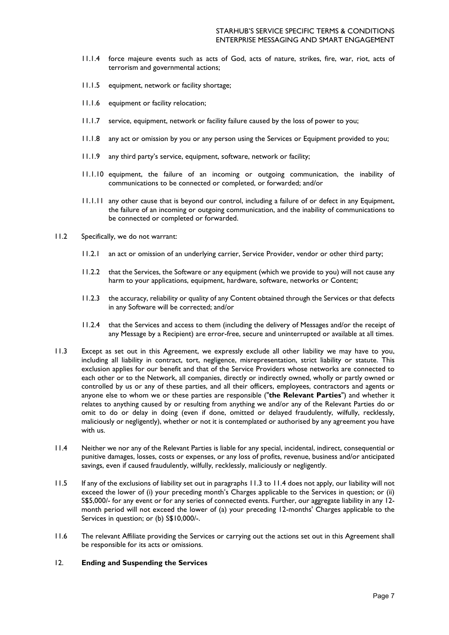- <span id="page-6-3"></span>11.1.4 force majeure events such as acts of God, acts of nature, strikes, fire, war, riot, acts of terrorism and governmental actions;
- 11.1.5 equipment, network or facility shortage;
- 11.1.6 equipment or facility relocation;
- 11.1.7 service, equipment, network or facility failure caused by the loss of power to you;
- 11.1.8 any act or omission by you or any person using the Services or Equipment provided to you;
- 11.1.9 any third party's service, equipment, software, network or facility;
- 11.1.10 equipment, the failure of an incoming or outgoing communication, the inability of communications to be connected or completed, or forwarded; and/or
- 11.1.11 any other cause that is beyond our control, including a failure of or defect in any Equipment, the failure of an incoming or outgoing communication, and the inability of communications to be connected or completed or forwarded.
- 11.2 Specifically, we do not warrant:
	- 11.2.1 an act or omission of an underlying carrier, Service Provider, vendor or other third party;
	- 11.2.2 that the Services, the Software or any equipment (which we provide to you) will not cause any harm to your applications, equipment, hardware, software, networks or Content;
	- 11.2.3 the accuracy, reliability or quality of any Content obtained through the Services or that defects in any Software will be corrected; and/or
	- 11.2.4 that the Services and access to them (including the delivery of Messages and/or the receipt of any Message by a Recipient) are error-free, secure and uninterrupted or available at all times.
- <span id="page-6-0"></span>11.3 Except as set out in this Agreement, we expressly exclude all other liability we may have to you, including all liability in contract, tort, negligence, misrepresentation, strict liability or statute. This exclusion applies for our benefit and that of the Service Providers whose networks are connected to each other or to the Network, all companies, directly or indirectly owned, wholly or partly owned or controlled by us or any of these parties, and all their officers, employees, contractors and agents or anyone else to whom we or these parties are responsible ("**the Relevant Parties**") and whether it relates to anything caused by or resulting from anything we and/or any of the Relevant Parties do or omit to do or delay in doing (even if done, omitted or delayed fraudulently, wilfully, recklessly, maliciously or negligently), whether or not it is contemplated or authorised by any agreement you have with us.
- <span id="page-6-1"></span>11.4 Neither we nor any of the Relevant Parties is liable for any special, incidental, indirect, consequential or punitive damages, losses, costs or expenses, or any loss of profits, revenue, business and/or anticipated savings, even if caused fraudulently, wilfully, recklessly, maliciously or negligently.
- 11.5 If any of the exclusions of liability set out in paragraphs [11.3](#page-6-0) to [11.4](#page-6-1) does not apply, our liability will not exceed the lower of (i) your preceding month's Charges applicable to the Services in question; or (ii) S\$5,000/- for any event or for any series of connected events. Further, our aggregate liability in any 12 month period will not exceed the lower of (a) your preceding 12-months' Charges applicable to the Services in question; or (b) S\$10,000/-.
- 11.6 The relevant Affiliate providing the Services or carrying out the actions set out in this Agreement shall be responsible for its acts or omissions.

## <span id="page-6-2"></span>12. **Ending and Suspending the Services**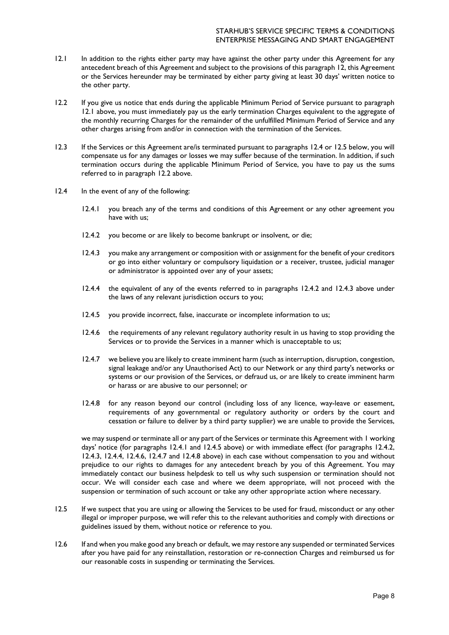- 12.1 In addition to the rights either party may have against the other party under this Agreement for any antecedent breach of this Agreement and subject to the provisions of this paragraph [12,](#page-6-2) this Agreement or the Services hereunder may be terminated by either party giving at least 30 days' written notice to the other party.
- <span id="page-7-2"></span>12.2 If you give us notice that ends during the applicable Minimum Period of Service pursuant to paragraph [12.1](#page-6-3) above, you must immediately pay us the early termination Charges equivalent to the aggregate of the monthly recurring Charges for the remainder of the unfulfilled Minimum Period of Service and any other charges arising from and/or in connection with the termination of the Services.
- 12.3 If the Services or this Agreement are/is terminated pursuant to paragraphs [12.4](#page-7-0) or [12.5](#page-7-1) below, you will compensate us for any damages or losses we may suffer because of the termination. In addition, if such termination occurs during the applicable Minimum Period of Service, you have to pay us the sums referred to in paragraph [12.2](#page-7-2) above.
- <span id="page-7-7"></span><span id="page-7-6"></span><span id="page-7-5"></span><span id="page-7-4"></span><span id="page-7-3"></span><span id="page-7-0"></span>12.4 In the event of any of the following:
	- 12.4.1 you breach any of the terms and conditions of this Agreement or any other agreement you have with us;
	- 12.4.2 you become or are likely to become bankrupt or insolvent, or die;
	- 12.4.3 you make any arrangement or composition with or assignment for the benefit of your creditors or go into either voluntary or compulsory liquidation or a receiver, trustee, judicial manager or administrator is appointed over any of your assets;
	- 12.4.4 the equivalent of any of the events referred to in paragraphs [12.4.2](#page-7-3) and [12.4.3](#page-7-4) above under the laws of any relevant jurisdiction occurs to you;
	- 12.4.5 you provide incorrect, false, inaccurate or incomplete information to us;
	- 12.4.6 the requirements of any relevant regulatory authority result in us having to stop providing the Services or to provide the Services in a manner which is unacceptable to us;
	- 12.4.7 we believe you are likely to create imminent harm (such as interruption, disruption, congestion, signal leakage and/or any Unauthorised Act) to our Network or any third party's networks or systems or our provision of the Services, or defraud us, or are likely to create imminent harm or harass or are abusive to our personnel; or
	- 12.4.8 for any reason beyond our control (including loss of any licence, way-leave or easement, requirements of any governmental or regulatory authority or orders by the court and cessation or failure to deliver by a third party supplier) we are unable to provide the Services,

<span id="page-7-10"></span><span id="page-7-9"></span><span id="page-7-8"></span>we may suspend or terminate all or any part of the Services or terminate this Agreement with 1 working days' notice (for paragraphs [12.4.1](#page-7-5) and [12.4.5](#page-7-6) above) or with immediate effect (for paragraphs [12.4.2,](#page-7-3) [12.4.3,](#page-7-4) [12.4.4,](#page-7-7) [12.4.6,](#page-7-8) [12.4.7](#page-7-9) and [12.4.8](#page-7-10) above) in each case without compensation to you and without prejudice to our rights to damages for any antecedent breach by you of this Agreement. You may immediately contact our business helpdesk to tell us why such suspension or termination should not occur. We will consider each case and where we deem appropriate, will not proceed with the suspension or termination of such account or take any other appropriate action where necessary.

- <span id="page-7-1"></span>12.5 If we suspect that you are using or allowing the Services to be used for fraud, misconduct or any other illegal or improper purpose, we will refer this to the relevant authorities and comply with directions or guidelines issued by them, without notice or reference to you.
- <span id="page-7-11"></span>12.6 If and when you make good any breach or default, we may restore any suspended or terminated Services after you have paid for any reinstallation, restoration or re-connection Charges and reimbursed us for our reasonable costs in suspending or terminating the Services.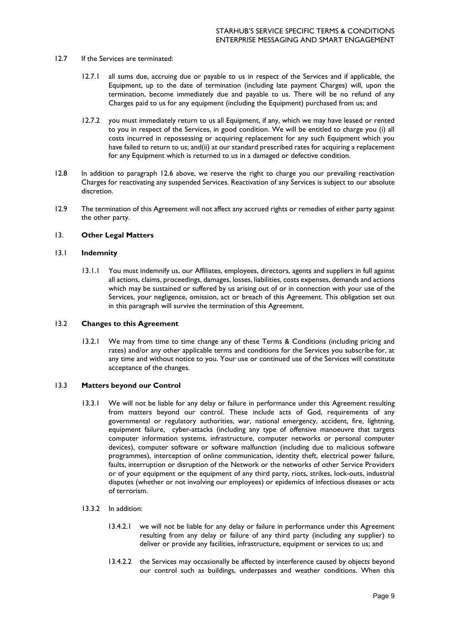- 12.7 If the Services are terminated:
	- 12.7.1 all sums due, accruing due or payable to us in respect of the Services and if applicable, the Equipment, up to the date of termination (including late payment Charges) will, upon the termination, become immediately due and payable to us. There will be no refund of any Charges paid to us for any equipment (including the Equipment) purchased from us; and
	- 12.7.2 you must immediately return to us all Equipment, if any, which we may have leased or rented to you in respect of the Services, in good condition. We will be entitled to charge you (i) all costs incurred in repossessing or acquiring replacement for any such Equipment which you have failed to return to us; and(ii) at our standard prescribed rates for acquiring a replacement for any Equipment which is returned to us in a damaged or defective condition.
- 12.8 In addition to paragraph [12.6](#page-7-11) above, we reserve the right to charge you our prevailing reactivation Charges for reactivating any suspended Services. Reactivation of any Services is subject to our absolute discretion.
- 12.9 The termination of this Agreement will not affect any accrued rights or remedies of either party against the other party.

### 13. **Other Legal Matters**

# 13.1 **Indemnity**

13.1.1 You must indemnify us, our Affiliates, employees, directors, agents and suppliers in full against all actions, claims, proceedings, damages, losses, liabilities, costs expenses, demands and actions which may be sustained or suffered by us arising out of or in connection with your use of the Services, your negligence, omission, act or breach of this Agreement. This obligation set out in this paragraph will survive the termination of this Agreement.

#### 13.2 **Changes to this Agreement**

13.2.1 We may from time to time change any of these Terms & Conditions (including pricing and rates) and/or any other applicable terms and conditions for the Services you subscribe for, at any time and without notice to you. Your use or continued use of the Services will constitute acceptance of the changes.

### 13.3 **Matters beyond our Control**

- 13.3.1 We will not be liable for any delay or failure in performance under this Agreement resulting from matters beyond our control. These include acts of God, requirements of any governmental or regulatory authorities, war, national emergency, accident, fire, lightning, equipment failure, cyber-attacks (including any type of offensive manoeuvre that targets computer information systems, infrastructure, computer networks or personal computer devices), computer software or software malfunction (including due to malicious software programmes), interception of online communication, identity theft, electrical power failure, faults, interruption or disruption of the Network or the networks of other Service Providers or of your equipment or the equipment of any third party, riots, strikes, lock-outs, industrial disputes (whether or not involving our employees) or epidemics of infectious diseases or acts of terrorism.
- 13.3.2 In addition:
	- 13.4.2.1 we will not be liable for any delay or failure in performance under this Agreement resulting from any delay or failure of any third party (including any supplier) to deliver or provide any facilities, infrastructure, equipment or services to us; and
	- 13.4.2.2 the Services may occasionally be affected by interference caused by objects beyond our control such as buildings, underpasses and weather conditions. When this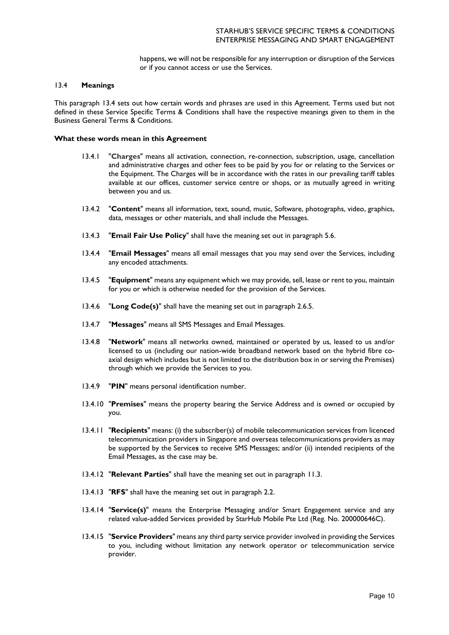happens, we will not be responsible for any interruption or disruption of the Services or if you cannot access or use the Services.

### 13.4 **Meanings**

This paragraph 13.4 sets out how certain words and phrases are used in this Agreement. Terms used but not defined in these Service Specific Terms & Conditions shall have the respective meanings given to them in the Business General Terms & Conditions.

#### **What these words mean in this Agreement**

- 13.4.1 "**Charges**" means all activation, connection, re-connection, subscription, usage, cancellation and administrative charges and other fees to be paid by you for or relating to the Services or the Equipment. The Charges will be in accordance with the rates in our prevailing tariff tables available at our offices, customer service centre or shops, or as mutually agreed in writing between you and us.
- 13.4.2 "**Content**" means all information, text, sound, music, Software, photographs, video, graphics, data, messages or other materials, and shall include the Messages.
- 13.4.3 "**Email Fair Use Policy**" shall have the meaning set out in paragraph [5.6.](#page-2-2)
- 13.4.4 "**Email Messages**" means all email messages that you may send over the Services, including any encoded attachments.
- 13.4.5 "**Equipment**" means any equipment which we may provide, sell, lease or rent to you, maintain for you or which is otherwise needed for the provision of the Services.
- 13.4.6 "**Long Code(s)**" shall have the meaning set out in paragraph [2.6.5.](#page-1-1)
- 13.4.7 "**Messages**" means all SMS Messages and Email Messages.
- 13.4.8 "**Network**" means all networks owned, maintained or operated by us, leased to us and/or licensed to us (including our nation-wide broadband network based on the hybrid fibre coaxial design which includes but is not limited to the distribution box in or serving the Premises) through which we provide the Services to you.
- 13.4.9 "**PIN**" means personal identification number.
- 13.4.10 "**Premises**" means the property bearing the Service Address and is owned or occupied by you.
- 13.4.11 "**Recipients**" means: (i) the subscriber(s) of mobile telecommunication services from licen**c**ed telecommunication providers in Singapore and overseas telecommunications providers as may be supported by the Service**s** to receive SMS Messages; and/or (ii) intended recipients of the Email Messages, as the case may be.
- 13.4.12 "**Relevant Parties**" shall have the meaning set out in paragraph [11.3.](#page-6-0)
- 13.4.13 "**RFS**" shall have the meaning set out in paragraph [2.2.](#page-0-2)
- 13.4.14 "**Service(s)**" means the Enterprise Messaging and/or Smart Engagement service and any related value-added Services provided by StarHub Mobile Pte Ltd (Reg. No. 200000646C).
- 13.4.15 "**Service Providers**" means any third party service provider involved in providing the Services to you, including without limitation any network operator or telecommunication service provider.